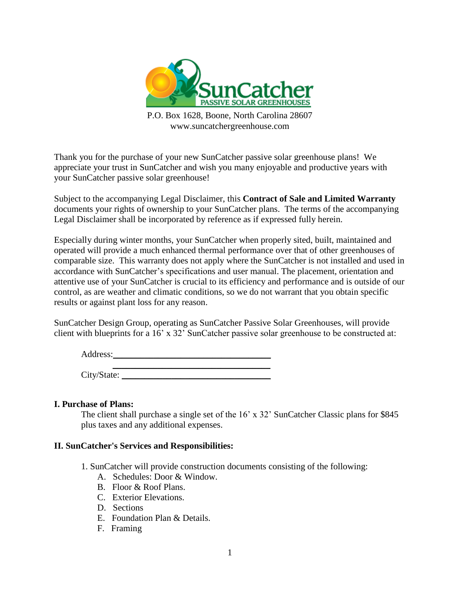

P.O. Box 1628, Boone, North Carolina 28607 www.suncatchergreenhouse.com

Thank you for the purchase of your new SunCatcher passive solar greenhouse plans! We appreciate your trust in SunCatcher and wish you many enjoyable and productive years with your SunCatcher passive solar greenhouse!

Subject to the accompanying Legal Disclaimer, this **Contract of Sale and Limited Warranty** documents your rights of ownership to your SunCatcher plans. The terms of the accompanying Legal Disclaimer shall be incorporated by reference as if expressed fully herein.

Especially during winter months, your SunCatcher when properly sited, built, maintained and operated will provide a much enhanced thermal performance over that of other greenhouses of comparable size. This warranty does not apply where the SunCatcher is not installed and used in accordance with SunCatcher's specifications and user manual. The placement, orientation and attentive use of your SunCatcher is crucial to its efficiency and performance and is outside of our control, as are weather and climatic conditions, so we do not warrant that you obtain specific results or against plant loss for any reason.

SunCatcher Design Group, operating as SunCatcher Passive Solar Greenhouses, will provide client with blueprints for a 16' x 32' SunCatcher passive solar greenhouse to be constructed at:

Address:

 \_\_\_\_\_\_\_\_\_\_\_\_\_\_\_\_\_\_\_\_\_\_\_\_\_\_\_\_\_\_\_\_\_\_\_ City/State: \_\_\_\_\_\_\_\_\_\_\_\_\_\_\_\_\_\_\_\_\_\_\_\_\_\_\_\_\_\_\_\_\_

## **I. Purchase of Plans:**

The client shall purchase a single set of the 16' x 32' SunCatcher Classic plans for \$845 plus taxes and any additional expenses.

## **II. SunCatcher's Services and Responsibilities:**

- 1. SunCatcher will provide construction documents consisting of the following:
	- A. Schedules: Door & Window.
	- B. Floor & Roof Plans.
	- C. Exterior Elevations.
	- D. Sections
	- E. Foundation Plan & Details.
	- F. Framing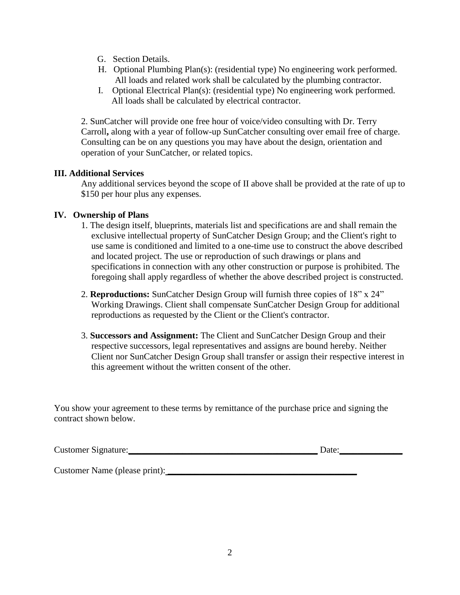- G. Section Details.
- H. Optional Plumbing Plan(s): (residential type) No engineering work performed. All loads and related work shall be calculated by the plumbing contractor.
- I. Optional Electrical Plan(s): (residential type) No engineering work performed. All loads shall be calculated by electrical contractor.

2. SunCatcher will provide one free hour of voice/video consulting with Dr. Terry Carroll**,** along with a year of follow-up SunCatcher consulting over email free of charge. Consulting can be on any questions you may have about the design, orientation and operation of your SunCatcher, or related topics.

## **III. Additional Services**

Any additional services beyond the scope of II above shall be provided at the rate of up to \$150 per hour plus any expenses.

## **IV. Ownership of Plans**

- 1. The design itself, blueprints, materials list and specifications are and shall remain the exclusive intellectual property of SunCatcher Design Group; and the Client's right to use same is conditioned and limited to a one-time use to construct the above described and located project. The use or reproduction of such drawings or plans and specifications in connection with any other construction or purpose is prohibited. The foregoing shall apply regardless of whether the above described project is constructed.
- 2. **Reproductions:** SunCatcher Design Group will furnish three copies of 18" x 24" Working Drawings. Client shall compensate SunCatcher Design Group for additional reproductions as requested by the Client or the Client's contractor.
- 3. **Successors and Assignment:** The Client and SunCatcher Design Group and their respective successors, legal representatives and assigns are bound hereby. Neither Client nor SunCatcher Design Group shall transfer or assign their respective interest in this agreement without the written consent of the other.

You show your agreement to these terms by remittance of the purchase price and signing the contract shown below.

| Customer Signature: | Date <sup>.</sup> |  |
|---------------------|-------------------|--|
|                     |                   |  |

Customer Name (please print):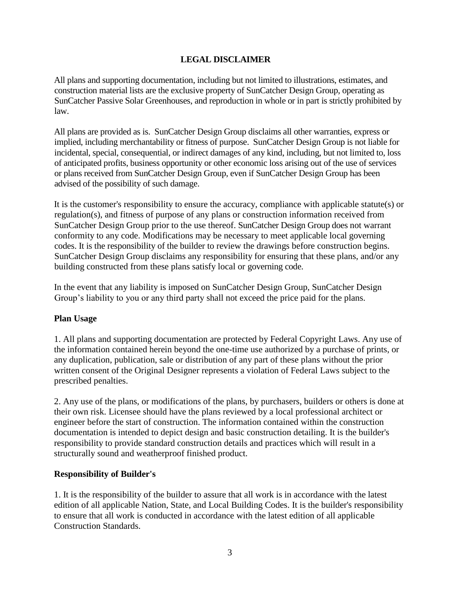# **LEGAL DISCLAIMER**

All plans and supporting documentation, including but not limited to illustrations, estimates, and construction material lists are the exclusive property of SunCatcher Design Group, operating as SunCatcher Passive Solar Greenhouses, and reproduction in whole or in part is strictly prohibited by law.

All plans are provided as is. SunCatcher Design Group disclaims all other warranties, express or implied, including merchantability or fitness of purpose. SunCatcher Design Group is not liable for incidental, special, consequential, or indirect damages of any kind, including, but not limited to, loss of anticipated profits, business opportunity or other economic loss arising out of the use of services or plans received from SunCatcher Design Group, even if SunCatcher Design Group has been advised of the possibility of such damage.

It is the customer's responsibility to ensure the accuracy, compliance with applicable statute(s) or regulation(s), and fitness of purpose of any plans or construction information received from SunCatcher Design Group prior to the use thereof. SunCatcher Design Group does not warrant conformity to any code. Modifications may be necessary to meet applicable local governing codes. It is the responsibility of the builder to review the drawings before construction begins. SunCatcher Design Group disclaims any responsibility for ensuring that these plans, and/or any building constructed from these plans satisfy local or governing code.

In the event that any liability is imposed on SunCatcher Design Group, SunCatcher Design Group's liability to you or any third party shall not exceed the price paid for the plans.

## **Plan Usage**

1. All plans and supporting documentation are protected by Federal Copyright Laws. Any use of the information contained herein beyond the one-time use authorized by a purchase of prints, or any duplication, publication, sale or distribution of any part of these plans without the prior written consent of the Original Designer represents a violation of Federal Laws subject to the prescribed penalties.

2. Any use of the plans, or modifications of the plans, by purchasers, builders or others is done at their own risk. Licensee should have the plans reviewed by a local professional architect or engineer before the start of construction. The information contained within the construction documentation is intended to depict design and basic construction detailing. It is the builder's responsibility to provide standard construction details and practices which will result in a structurally sound and weatherproof finished product.

## **Responsibility of Builder's**

1. It is the responsibility of the builder to assure that all work is in accordance with the latest edition of all applicable Nation, State, and Local Building Codes. It is the builder's responsibility to ensure that all work is conducted in accordance with the latest edition of all applicable Construction Standards.